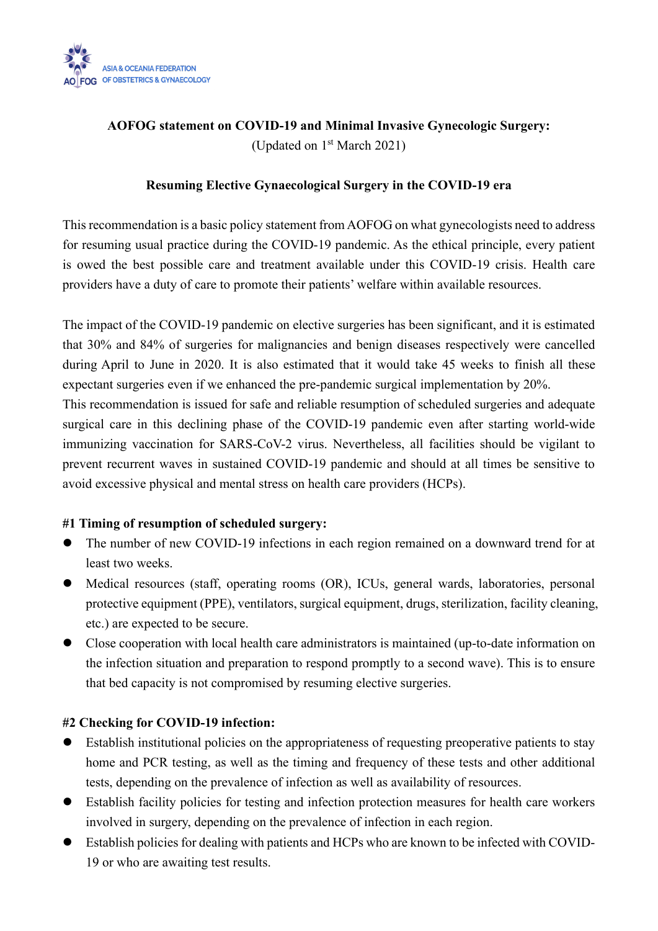

# **AOFOG statement on COVID-19 and Minimal Invasive Gynecologic Surgery:** (Updated on 1st March 2021)

# **Resuming Elective Gynaecological Surgery in the COVID-19 era**

This recommendation is a basic policy statement from AOFOG on what gynecologists need to address for resuming usual practice during the COVID-19 pandemic. As the ethical principle, every patient is owed the best possible care and treatment available under this COVID-19 crisis. Health care providers have a duty of care to promote their patients' welfare within available resources.

The impact of the COVID-19 pandemic on elective surgeries has been significant, and it is estimated that 30% and 84% of surgeries for malignancies and benign diseases respectively were cancelled during April to June in 2020. It is also estimated that it would take 45 weeks to finish all these expectant surgeries even if we enhanced the pre-pandemic surgical implementation by 20%. This recommendation is issued for safe and reliable resumption of scheduled surgeries and adequate surgical care in this declining phase of the COVID-19 pandemic even after starting world-wide immunizing vaccination for SARS-CoV-2 virus. Nevertheless, all facilities should be vigilant to prevent recurrent waves in sustained COVID-19 pandemic and should at all times be sensitive to avoid excessive physical and mental stress on health care providers (HCPs).

## **#1 Timing of resumption of scheduled surgery:**

- ⚫ The number of new COVID-19 infections in each region remained on a downward trend for at least two weeks.
- Medical resources (staff, operating rooms (OR), ICUs, general wards, laboratories, personal protective equipment (PPE), ventilators, surgical equipment, drugs, sterilization, facility cleaning, etc.) are expected to be secure.
- Close cooperation with local health care administrators is maintained (up-to-date information on the infection situation and preparation to respond promptly to a second wave). This is to ensure that bed capacity is not compromised by resuming elective surgeries.

# **#2 Checking for COVID-19 infection:**

- ⚫ Establish institutional policies on the appropriateness of requesting preoperative patients to stay home and PCR testing, as well as the timing and frequency of these tests and other additional tests, depending on the prevalence of infection as well as availability of resources.
- ⚫ Establish facility policies for testing and infection protection measures for health care workers involved in surgery, depending on the prevalence of infection in each region.
- ⚫ Establish policies for dealing with patients and HCPs who are known to be infected with COVID-19 or who are awaiting test results.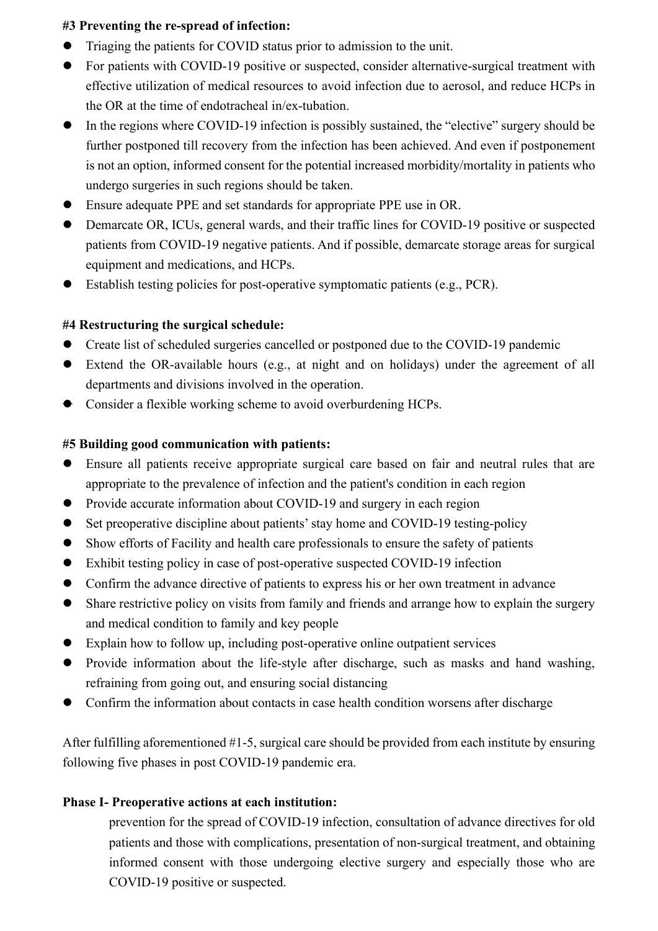## **#3 Preventing the re-spread of infection:**

- ⚫ Triaging the patients for COVID status prior to admission to the unit.
- For patients with COVID-19 positive or suspected, consider alternative-surgical treatment with effective utilization of medical resources to avoid infection due to aerosol, and reduce HCPs in the OR at the time of endotracheal in/ex-tubation.
- ⚫ In the regions where COVID-19 infection is possibly sustained, the "elective" surgery should be further postponed till recovery from the infection has been achieved. And even if postponement is not an option, informed consent for the potential increased morbidity/mortality in patients who undergo surgeries in such regions should be taken.
- ⚫ Ensure adequate PPE and set standards for appropriate PPE use in OR.
- ⚫ Demarcate OR, ICUs, general wards, and their traffic lines for COVID-19 positive or suspected patients from COVID-19 negative patients. And if possible, demarcate storage areas for surgical equipment and medications, and HCPs.
- Establish testing policies for post-operative symptomatic patients (e.g., PCR).

#### **#4 Restructuring the surgical schedule:**

- Create list of scheduled surgeries cancelled or postponed due to the COVID-19 pandemic
- ⚫ Extend the OR-available hours (e.g., at night and on holidays) under the agreement of all departments and divisions involved in the operation.
- ⚫ Consider a flexible working scheme to avoid overburdening HCPs.

#### **#5 Building good communication with patients:**

- ⚫ Ensure all patients receive appropriate surgical care based on fair and neutral rules that are appropriate to the prevalence of infection and the patient's condition in each region
- ⚫ Provide accurate information about COVID-19 and surgery in each region
- ⚫ Set preoperative discipline about patients'stay home and COVID-19 testing-policy
- ⚫ Show efforts of Facility and health care professionals to ensure the safety of patients
- ⚫ Exhibit testing policy in case of post-operative suspected COVID-19 infection
- ⚫ Confirm the advance directive of patients to express his or her own treatment in advance
- Share restrictive policy on visits from family and friends and arrange how to explain the surgery and medical condition to family and key people
- ⚫ Explain how to follow up, including post-operative online outpatient services
- ⚫ Provide information about the life-style after discharge, such as masks and hand washing, refraining from going out, and ensuring social distancing
- ⚫ Confirm the information about contacts in case health condition worsens after discharge

After fulfilling aforementioned #1-5, surgical care should be provided from each institute by ensuring following five phases in post COVID-19 pandemic era.

#### **Phase I- Preoperative actions at each institution:**

prevention for the spread of COVID-19 infection, consultation of advance directives for old patients and those with complications, presentation of non-surgical treatment, and obtaining informed consent with those undergoing elective surgery and especially those who are COVID-19 positive or suspected.